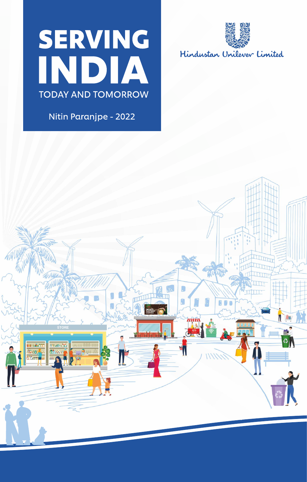# **SERVING INDIA TODAY AND TOMORROW**

Nitin Paranjpe - 2022



Hindustan Unilever Limited

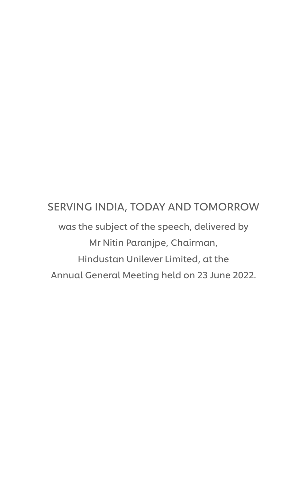#### SERVING INDIA, TODAY AND TOMORROW

was the subject of the speech, delivered by Mr Nitin Paranjpe, Chairman, Hindustan Unilever Limited, at the Annual General Meeting held on 23 June 2022.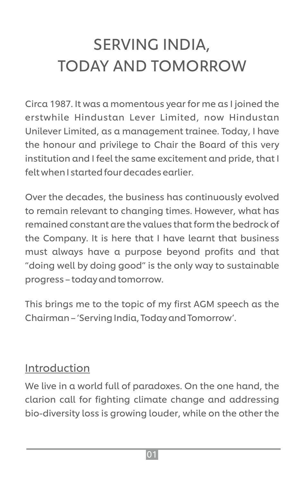# SERVING INDIA, TODAY AND TOMORROW

Circa 1987. It was a momentous year for me as I joined the erstwhile Hindustan Lever Limited, now Hindustan Unilever Limited, as a management trainee. Today, I have the honour and privilege to Chair the Board of this very institution and I feel the same excitement and pride, that I felt when I started four decades earlier.

Over the decades, the business has continuously evolved to remain relevant to changing times. However, what has remained constant are the values that form the bedrock of the Company. It is here that I have learnt that business must always have a purpose beyond profits and that "doing well by doing good" is the only way to sustainable progress – today and tomorrow.

This brings me to the topic of my first AGM speech as the Chairman – 'Serving India, Today and Tomorrow'.

#### Introduction

We live in a world full of paradoxes. On the one hand, the clarion call for fighting climate change and addressing bio-diversity loss is growing louder, while on the other the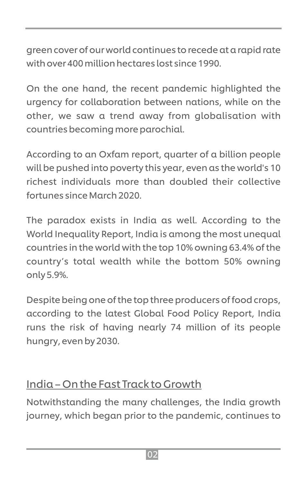green cover of our world continues to recede at a rapid rate with over 400 million hectares lost since 1990.

On the one hand, the recent pandemic highlighted the urgency for collaboration between nations, while on the other, we saw a trend away from globalisation with countries becoming more parochial.

According to an Oxfam report, quarter of a billion people will be pushed into poverty this year, even as the world's 10 richest individuals more than doubled their collective fortunes since March 2020.

The paradox exists in India as well. According to the World Inequality Report, India is among the most unequal countries in the world with the top 10% owning 63.4% of the country's total wealth while the bottom 50% owning only 5.9%.

Despite being one of the top three producers of food crops, according to the latest Global Food Policy Report, India runs the risk of having nearly 74 million of its people hungry, even by 2030.

#### India – On the Fast Track to Growth

Notwithstanding the many challenges, the India growth journey, which began prior to the pandemic, continues to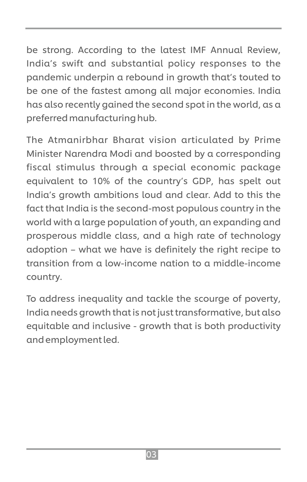be strong. According to the latest IMF Annual Review, India's swift and substantial policy responses to the pandemic underpin a rebound in growth that's touted to be one of the fastest among all major economies. India has also recently gained the second spot in the world, as a preferred manufacturing hub.

The Atmanirbhar Bharat vision articulated by Prime Minister Narendra Modi and boosted by a corresponding fiscal stimulus through a special economic package equivalent to 10% of the country's GDP, has spelt out India's growth ambitions loud and clear. Add to this the fact that India is the second-most populous country in the world with a large population of youth, an expanding and prosperous middle class, and a high rate of technology adoption – what we have is definitely the right recipe to transition from a low-income nation to a middle-income country.

To address inequality and tackle the scourge of poverty, India needs growth that is not just transformative, but also equitable and inclusive - growth that is both productivity and employment led.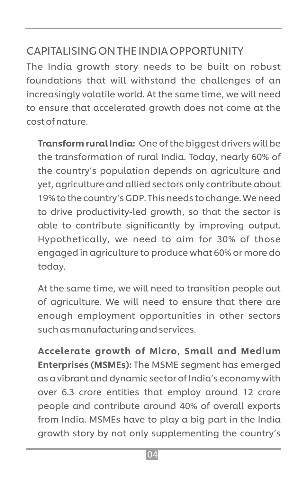#### CAPITALISING ON THE INDIA OPPORTUNITY

The India growth story needs to be built on robust foundations that will withstand the challenges of an increasingly volatile world. At the same time, we will need to ensure that accelerated growth does not come at the cost of nature.

Transform rural India: One of the biggest drivers will be the transformation of rural India. Today, nearly 60% of the country's population depends on agriculture and yet, agriculture and allied sectors only contribute about 19% to the country's GDP. This needs to change. We need to drive productivity-led growth, so that the sector is able to contribute significantly by improving output. Hypothetically, we need to aim for 30% of those engaged in agriculture to produce what 60% or more do today.

At the same time, we will need to transition people out of agriculture. We will need to ensure that there are enough employment opportunities in other sectors such as manufacturing and services.

Accelerate growth of Micro, Small and Medium Enterprises (MSMEs): The MSME segment has emerged as a vibrant and dynamic sector of India's economy with over 6.3 crore entities that employ around 12 crore people and contribute around 40% of overall exports from India. MSMEs have to play a big part in the India growth story by not only supplementing the country's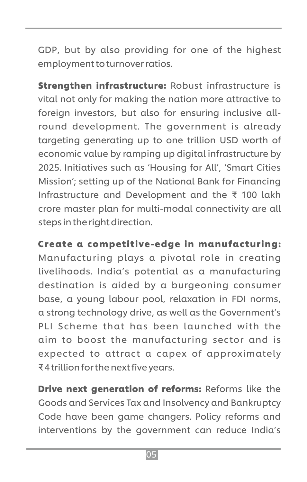GDP, but by also providing for one of the highest employment to turnover ratios.

**Strengthen infrastructure: Robust infrastructure is** vital not only for making the nation more attractive to foreign investors, but also for ensuring inclusive allround development. The government is already targeting generating up to one trillion USD worth of economic value by ramping up digital infrastructure by 2025. Initiatives such as 'Housing for All', 'Smart Cities Mission'; setting up of the National Bank for Financing Infrastructure and Development and the ₹ 100 lakh crore master plan for multi-modal connectivity are all steps in the right direction.

Create a competitive-edge in manufacturing:

Manufacturing plays a pivotal role in creating livelihoods. India's potential as a manufacturing destination is aided by a burgeoning consumer base, a young labour pool, relaxation in FDI norms, a strong technology drive, as well as the Government's PLI Scheme that has been launched with the aim to boost the manufacturing sector and is expected to attract a capex of approximately ₹ 4 trillion for the next five years.

**Drive next generation of reforms: Reforms like the** Goods and Services Tax and Insolvency and Bankruptcy Code have been game changers. Policy reforms and interventions by the government can reduce India's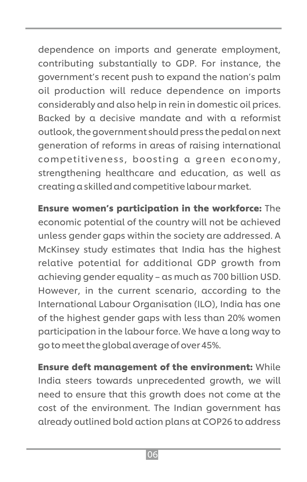dependence on imports and generate employment, contributing substantially to GDP. For instance, the government's recent push to expand the nation's palm oil production will reduce dependence on imports considerably and also help in rein in domestic oil prices. Backed by a decisive mandate and with a reformist outlook, the government should press the pedal on next generation of reforms in areas of raising international competitiveness, boosting a green economy, strengthening healthcare and education, as well as creating a skilled and competitive labour market.

Ensure women's participation in the workforce: The economic potential of the country will not be achieved unless gender gaps within the society are addressed. A McKinsey study estimates that India has the highest relative potential for additional GDP growth from achieving gender equality – as much as 700 billion USD. However, in the current scenario, according to the International Labour Organisation (ILO), India has one of the highest gender gaps with less than 20% women participation in the labour force. We have a long way to go to meet the global average of over 45%.

Ensure deft management of the environment: While India steers towards unprecedented growth, we will need to ensure that this growth does not come at the cost of the environment. The Indian government has already outlined bold action plans at COP26 to address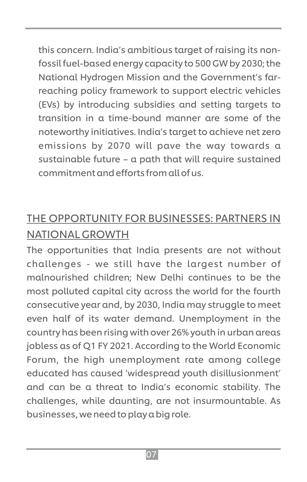this concern. India's ambitious target of raising its nonfossil fuel-based energy capacity to 500 GW by 2030; the National Hydrogen Mission and the Government's farreaching policy framework to support electric vehicles (EVs) by introducing subsidies and setting targets to transition in a time-bound manner are some of the noteworthy initiatives. India's target to achieve net zero emissions by 2070 will pave the way towards a sustainable future – a path that will require sustained commitment and efforts from all of us.

### THE OPPORTUNITY FOR BUSINESSES: PARTNERS IN NATIONAL GROWTH

The opportunities that India presents are not without challenges - we still have the largest number of malnourished children; New Delhi continues to be the most polluted capital city across the world for the fourth consecutive year and, by 2030, India may struggle to meet even half of its water demand. Unemployment in the country has been rising with over 26% youth in urban areas jobless as of Q1 FY 2021. According to the World Economic Forum, the high unemployment rate among college educated has caused 'widespread youth disillusionment' and can be a threat to India's economic stability. The challenges, while daunting, are not insurmountable. As businesses, we need to play a big role.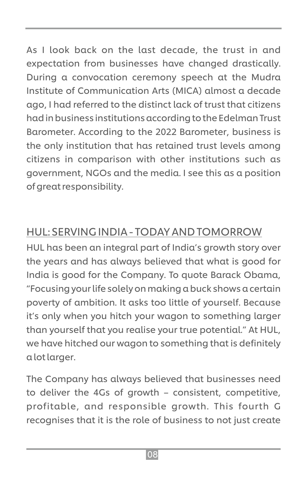As I look back on the last decade, the trust in and expectation from businesses have changed drastically. During a convocation ceremony speech at the Mudra Institute of Communication Arts (MICA) almost a decade ago, I had referred to the distinct lack of trust that citizens had in business institutions according to the Edelman Trust Barometer. According to the 2022 Barometer, business is the only institution that has retained trust levels among citizens in comparison with other institutions such as government, NGOs and the media. I see this as a position of great responsibility.

#### HUL: SERVING INDIA - TODAY AND TOMORROW

HUL has been an integral part of India's growth story over the years and has always believed that what is good for India is good for the Company. To quote Barack Obama, "Focusing your life solely on making a buck shows a certain poverty of ambition. It asks too little of yourself. Because it's only when you hitch your wagon to something larger than yourself that you realise your true potential." At HUL, we have hitched our wagon to something that is definitely a lot larger.

The Company has always believed that businesses need to deliver the 4Gs of growth – consistent, competitive, profitable, and responsible growth. This fourth G recognises that it is the role of business to not just create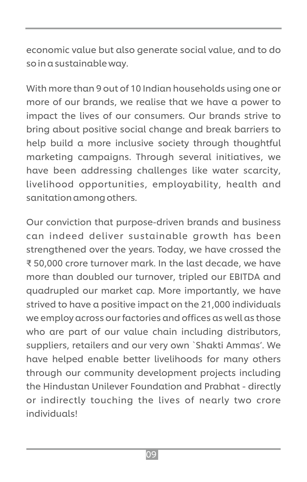economic value but also generate social value, and to do so in a sustainable way.

With more than 9 out of 10 Indian households using one or more of our brands, we realise that we have a power to impact the lives of our consumers. Our brands strive to bring about positive social change and break barriers to help build a more inclusive society through thoughtful marketing campaigns. Through several initiatives, we have been addressing challenges like water scarcity, livelihood opportunities, employability, health and sanitation among others.

Our conviction that purpose-driven brands and business can indeed deliver sustainable growth has been strengthened over the years. Today, we have crossed the ₹ 50,000 crore turnover mark. In the last decade, we have more than doubled our turnover, tripled our EBITDA and quadrupled our market cap. More importantly, we have strived to have a positive impact on the 21,000 individuals we employ across our factories and offices as well as those who are part of our value chain including distributors, suppliers, retailers and our very own `Shakti Ammas'. We have helped enable better livelihoods for many others through our community development projects including the Hindustan Unilever Foundation and Prabhat - directly or indirectly touching the lives of nearly two crore individuals!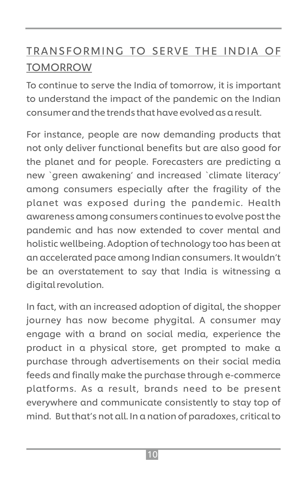### TRANSFORMING TO SERVE THE INDIA OF **TOMORROW**

To continue to serve the India of tomorrow, it is important to understand the impact of the pandemic on the Indian consumer and the trends that have evolved as a result.

For instance, people are now demanding products that not only deliver functional benefits but are also good for the planet and for people. Forecasters are predicting a new `green awakening' and increased `climate literacy' among consumers especially after the fragility of the planet was exposed during the pandemic. Health awareness among consumers continues to evolve post the pandemic and has now extended to cover mental and holistic wellbeing. Adoption of technology too has been at an accelerated pace among Indian consumers. It wouldn't be an overstatement to say that India is witnessing a digital revolution.

In fact, with an increased adoption of digital, the shopper journey has now become phygital. A consumer may engage with a brand on social media, experience the product in a physical store, get prompted to make a purchase through advertisements on their social media feeds and finally make the purchase through e-commerce platforms. As a result, brands need to be present everywhere and communicate consistently to stay top of mind. But that's not all. In a nation of paradoxes, critical to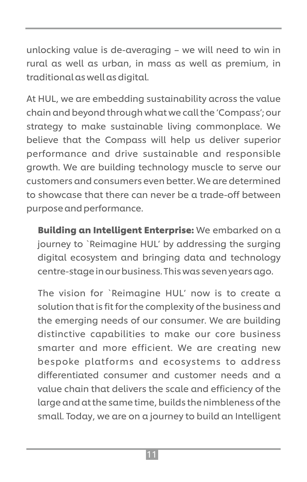unlocking value is de-averaging – we will need to win in rural as well as urban, in mass as well as premium, in traditional as well as digital.

At HUL, we are embedding sustainability across the value chain and beyond through what we call the 'Compass'; our strategy to make sustainable living commonplace. We believe that the Compass will help us deliver superior performance and drive sustainable and responsible growth. We are building technology muscle to serve our customers and consumers even better. We are determined to showcase that there can never be a trade-off between purpose and performance.

Building an Intelligent Enterprise: We embarked on a journey to `Reimagine HUL' by addressing the surging digital ecosystem and bringing data and technology centre-stage in our business. This was seven years ago.

The vision for `Reimagine HUL' now is to create a solution that is fit for the complexity of the business and the emerging needs of our consumer. We are building distinctive capabilities to make our core business smarter and more efficient. We are creating new bespoke platforms and ecosystems to address differentiated consumer and customer needs and a value chain that delivers the scale and efficiency of the large and at the same time, builds the nimbleness of the small. Today, we are on a journey to build an Intelligent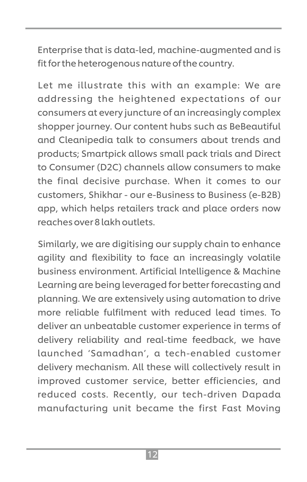Enterprise that is data-led, machine-augmented and is fit for the heterogenous nature of the country.

Let me illustrate this with an example: We are addressing the heightened expectations of our consumers at every juncture of an increasingly complex shopper journey. Our content hubs such as BeBeautiful and Cleanipedia talk to consumers about trends and products; Smartpick allows small pack trials and Direct to Consumer (D2C) channels allow consumers to make the final decisive purchase. When it comes to our customers, Shikhar - our e-Business to Business (e-B2B) app, which helps retailers track and place orders now reaches over 8 lakh outlets.

Similarly, we are digitising our supply chain to enhance agility and flexibility to face an increasingly volatile business environment. Artificial Intelligence & Machine Learning are being leveraged for better forecasting and planning. We are extensively using automation to drive more reliable fulfilment with reduced lead times. To deliver an unbeatable customer experience in terms of delivery reliability and real-time feedback, we have launched 'Samadhan', a tech-enabled customer delivery mechanism. All these will collectively result in improved customer service, better efficiencies, and reduced costs. Recently, our tech-driven Dapada manufacturing unit became the first Fast Moving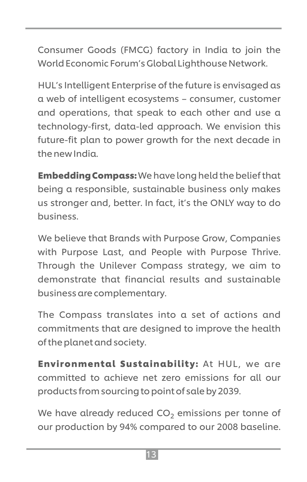Consumer Goods (FMCG) factory in India to join the World Economic Forum's Global Lighthouse Network.

HUL's Intelligent Enterprise of the future is envisaged as a web of intelligent ecosystems – consumer, customer and operations, that speak to each other and use a technology-first, data-led approach. We envision this future-fit plan to power growth for the next decade in the new India.

Embedding Compass: We have long held the belief that being a responsible, sustainable business only makes us stronger and, better. In fact, it's the ONLY way to do business.

We believe that Brands with Purpose Grow, Companies with Purpose Last, and People with Purpose Thrive. Through the Unilever Compass strategy, we aim to demonstrate that financial results and sustainable business are complementary.

The Compass translates into a set of actions and commitments that are designed to improve the health of the planet and society.

Environmental Sustainability: At HUL, we are committed to achieve net zero emissions for all our products from sourcing to point of sale by 2039.

We have already reduced  $CO<sub>2</sub>$  emissions per tonne of our production by 94% compared to our 2008 baseline.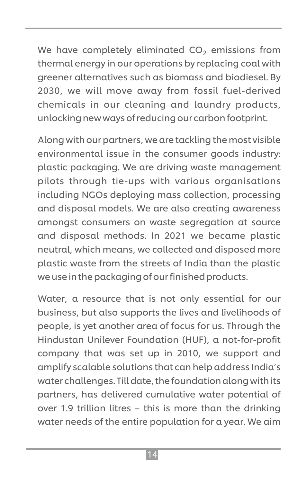We have completely eliminated  $CO<sub>2</sub>$  emissions from thermal energy in our operations by replacing coal with greener alternatives such as biomass and biodiesel. By 2030, we will move away from fossil fuel-derived chemicals in our cleaning and laundry products, unlocking new ways of reducing our carbon footprint.

Along with our partners, we are tackling the most visible environmental issue in the consumer goods industry: plastic packaging. We are driving waste management pilots through tie-ups with various organisations including NGOs deploying mass collection, processing and disposal models. We are also creating awareness amongst consumers on waste segregation at source and disposal methods. In 2021 we became plastic neutral, which means, we collected and disposed more plastic waste from the streets of India than the plastic we use in the packaging of our finished products.

Water, a resource that is not only essential for our business, but also supports the lives and livelihoods of people, is yet another area of focus for us. Through the Hindustan Unilever Foundation (HUF), a not-for-profit company that was set up in 2010, we support and amplify scalable solutions that can help address India's water challenges. Till date, the foundation along with its partners, has delivered cumulative water potential of over 1.9 trillion litres – this is more than the drinking water needs of the entire population for a year. We aim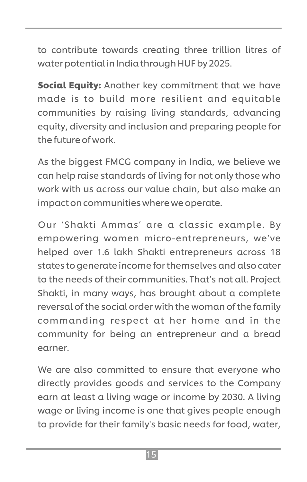to contribute towards creating three trillion litres of water potential in India through HUF by 2025.

**Social Equity:** Another key commitment that we have made is to build more resilient and equitable communities by raising living standards, advancing equity, diversity and inclusion and preparing people for the future of work.

As the biggest FMCG company in India, we believe we can help raise standards of living for not only those who work with us across our value chain, but also make an impact on communities where we operate.

Our 'Shakti Ammas' are a classic example. By empowering women micro-entrepreneurs, we've helped over 1.6 lakh Shakti entrepreneurs across 18 states to generate income for themselves and also cater to the needs of their communities. That's not all. Project Shakti, in many ways, has brought about a complete reversal of the social order with the woman of the family commanding respect at her home and in the community for being an entrepreneur and a bread earner.

We are also committed to ensure that everyone who directly provides goods and services to the Company earn at least a living wage or income by 2030. A living wage or living income is one that gives people enough to provide for their family's basic needs for food, water,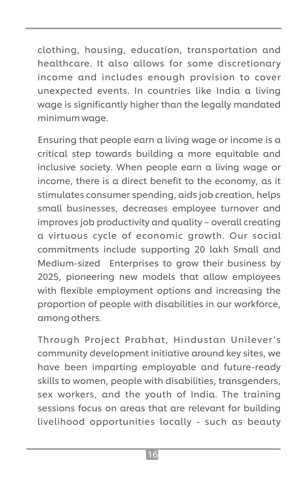clothing, housing, education, transportation and healthcare. It also allows for some discretionary income and includes enough provision to cover unexpected events. In countries like India a living wage is significantly higher than the legally mandated minimum wage.

Ensuring that people earn a living wage or income is a critical step towards building a more equitable and inclusive society. When people earn a living wage or income, there is a direct benefit to the economy, as it stimulates consumer spending, aids job creation, helps small businesses, decreases employee turnover and improves job productivity and quality – overall creating a virtuous cycle of economic growth. Our social commitments include supporting 20 lakh Small and Medium-sized Enterprises to grow their business by 2025, pioneering new models that allow employees with flexible employment options and increasing the proportion of people with disabilities in our workforce, among others.

Through Project Prabhat, Hindustan Unilever's community development initiative around key sites, we have been imparting employable and future-ready skills to women, people with disabilities, transgenders, sex workers, and the youth of India. The training sessions focus on areas that are relevant for building livelihood opportunities locally - such as beauty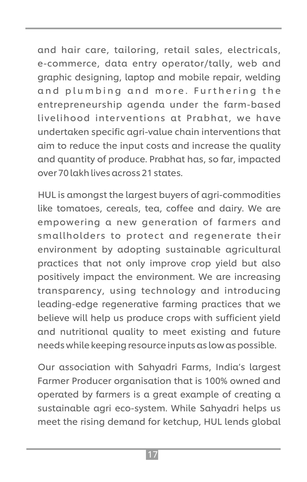and hair care, tailoring, retail sales, electricals, e-commerce, data entry operator/tally, web and graphic designing, laptop and mobile repair, welding and plumbing and more. Furthering the entrepreneurship agenda under the farm-based livelihood inter ventions at Prabhat, we have undertaken specific agri-value chain interventions that aim to reduce the input costs and increase the quality and quantity of produce. Prabhat has, so far, impacted over 70 lakh lives across 21 states.

HUL is amongst the largest buyers of agri-commodities like tomatoes, cereals, tea, coffee and dairy. We are empowering a new generation of farmers and smallholders to protect and regenerate their environment by adopting sustainable agricultural practices that not only improve crop yield but also positively impact the environment. We are increasing transparency, using technology and introducing leading-edge regenerative farming practices that we believe will help us produce crops with sufficient yield and nutritional quality to meet existing and future needs while keeping resource inputs as low as possible.

Our association with Sahyadri Farms, India's largest Farmer Producer organisation that is 100% owned and operated by farmers is a great example of creating a sustainable agri eco-system. While Sahyadri helps us meet the rising demand for ketchup, HUL lends global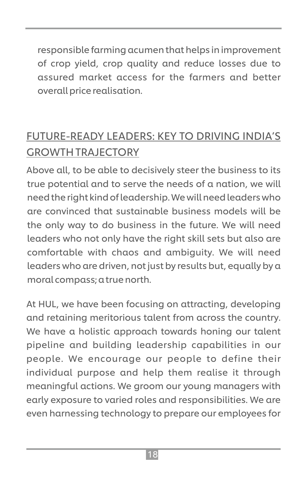responsible farming acumen that helps in improvement of crop yield, crop quality and reduce losses due to assured market access for the farmers and better overall price realisation.

## FUTURE-READY LEADERS: KEY TO DRIVING INDIA'S GROWTH TRAJECTORY

Above all, to be able to decisively steer the business to its true potential and to serve the needs of a nation, we will need the right kind of leadership. We will need leaders who are convinced that sustainable business models will be the only way to do business in the future. We will need leaders who not only have the right skill sets but also are comfortable with chaos and ambiguity. We will need leaders who are driven, not just by results but, equally by a moral compass; a true north.

At HUL, we have been focusing on attracting, developing and retaining meritorious talent from across the country. We have a holistic approach towards honing our talent pipeline and building leadership capabilities in our people. We encourage our people to define their individual purpose and help them realise it through meaningful actions. We groom our young managers with early exposure to varied roles and responsibilities. We are even harnessing technology to prepare our employees for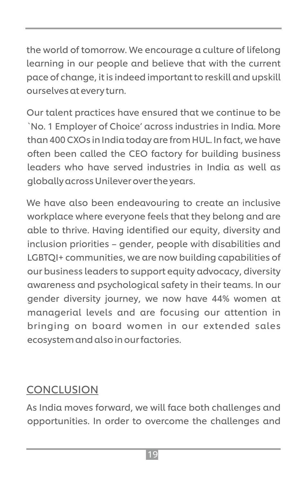the world of tomorrow. We encourage a culture of lifelong learning in our people and believe that with the current pace of change, it is indeed important to reskill and upskill ourselves at every turn.

Our talent practices have ensured that we continue to be `No. 1 Employer of Choice' across industries in India. More than 400 CXOs in India today are from HUL. In fact, we have often been called the CEO factory for building business leaders who have served industries in India as well as globally across Unilever over the years.

We have also been endeavouring to create an inclusive workplace where everyone feels that they belong and are able to thrive. Having identified our equity, diversity and inclusion priorities – gender, people with disabilities and LGBTQI+ communities, we are now building capabilities of our business leaders to support equity advocacy, diversity awareness and psychological safety in their teams. In our gender diversity journey, we now have 44% women at managerial levels and are focusing our attention in bringing on board women in our extended sales ecosystem and also in our factories.

#### **CONCLUSION**

As India moves forward, we will face both challenges and opportunities. In order to overcome the challenges and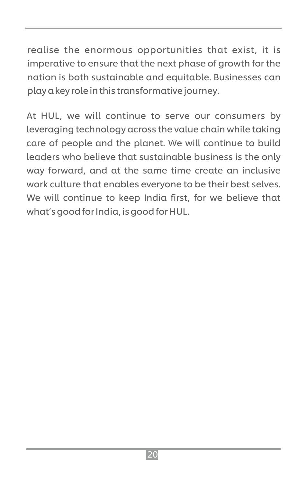realise the enormous opportunities that exist, it is imperative to ensure that the next phase of growth for the nation is both sustainable and equitable. Businesses can play a key role in this transformative journey.

At HUL, we will continue to serve our consumers by leveraging technology across the value chain while taking care of people and the planet. We will continue to build leaders who believe that sustainable business is the only way forward, and at the same time create an inclusive work culture that enables everyone to be their best selves. We will continue to keep India first, for we believe that what's good for India, is good for HUL.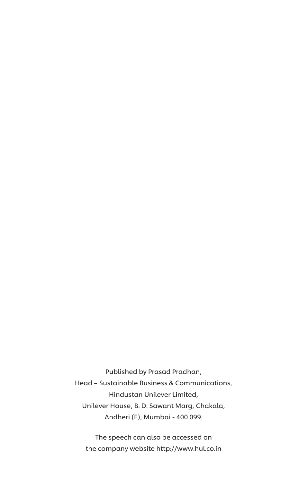Published by Prasad Pradhan, Head – Sustainable Business & Communications, Hindustan Unilever Limited, Unilever House, B. D. Sawant Marg, Chakala, Andheri (E), Mumbai - 400 099.

The speech can also be accessed on the company website http://www.hul.co.in